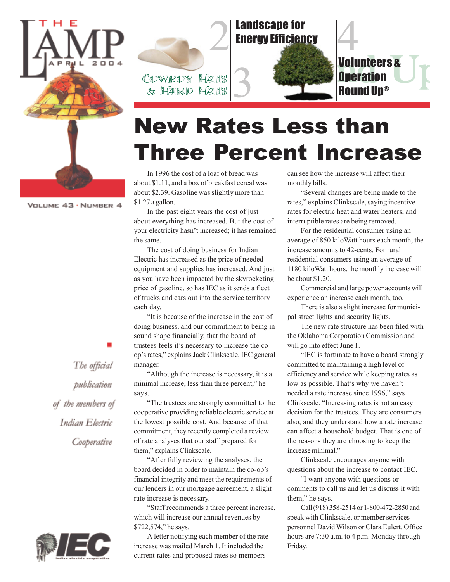

VOLUME 43 · NUMBER 4



# New Rates Less than Three Percent Increase

In 1996 the cost of a loaf of bread was about \$1.11, and a box of breakfast cereal was about \$2.39. Gasoline was slightly more than \$1.27 a gallon.

In the past eight years the cost of just about everything has increased. But the cost of your electricity hasn't increased; it has remained the same.

The cost of doing business for Indian Electric has increased as the price of needed equipment and supplies has increased. And just as you have been impacted by the skyrocketing price of gasoline, so has IEC as it sends a fleet of trucks and cars out into the service territory each day.

"It is because of the increase in the cost of doing business, and our commitment to being in sound shape financially, that the board of trustees feels it's necessary to increase the coop's rates," explains Jack Clinkscale, IEC general manager.

"Although the increase is necessary, it is a minimal increase, less than three percent," he says.

"The trustees are strongly committed to the cooperative providing reliable electric service at the lowest possible cost. And because of that commitment, they recently completed a review of rate analyses that our staff prepared for them," explains Clinkscale.

"After fully reviewing the analyses, the board decided in order to maintain the co-op's financial integrity and meet the requirements of our lenders in our mortgage agreement, a slight rate increase is necessary.

"Staff recommends a three percent increase, which will increase our annual revenues by \$722,574," he says.

can see how the increase will affect their monthly bills.

"Several changes are being made to the rates," explains Clinkscale, saying incentive rates for electric heat and water heaters, and interruptible rates are being removed.

For the residential consumer using an average of 850 kiloWatt hours each month, the increase amounts to 42-cents. For rural residential consumers using an average of 1180 kiloWatt hours, the monthly increase will be about \$1.20.

Commercial and large power accounts will experience an increase each month, too.

There is also a slight increase for municipal street lights and security lights.

The new rate structure has been filed with the Oklahoma Corporation Commission and will go into effect June 1.

"IEC is fortunate to have a board strongly committed to maintaining a high level of efficiency and service while keeping rates as low as possible. That's why we haven't needed a rate increase since 1996," says Clinkscale. "Increasing rates is not an easy decision for the trustees. They are consumers also, and they understand how a rate increase can affect a household budget. That is one of the reasons they are choosing to keep the increase minimal."

Clinkscale encourages anyone with questions about the increase to contact IEC.

"I want anyone with questions or comments to call us and let us discuss it with them," he says.

Call (918) 358-2514 or 1-800-472-2850 and speak with Clinkscale, or member services personnel David Wilson or Clara Eulert. Office hours are 7:30 a.m. to 4 p.m. Monday through Friday.

The official publication of the members of Indian Electric Cooperative



A letter notifying each member of the rate increase was mailed March 1. It included the current rates and proposed rates so members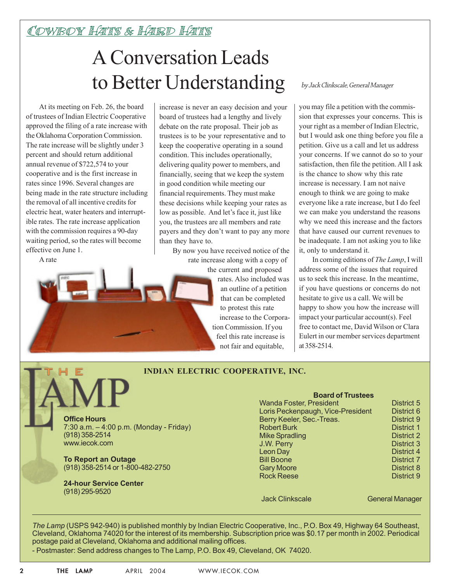### Cowboy Hats & Hard Hats

## A Conversation Leads to Better Understanding

At its meeting on Feb. 26, the board of trustees of Indian Electric Cooperative approved the filing of a rate increase with the Oklahoma Corporation Commission. The rate increase will be slightly under 3 percent and should return additional annual revenue of \$722,574 to your cooperative and is the first increase in rates since 1996. Several changes are being made in the rate structure including the removal of all incentive credits for electric heat, water heaters and interruptible rates. The rate increase application with the commission requires a 90-day waiting period, so the rates will become effective on June 1.

A rate

increase is never an easy decision and your board of trustees had a lengthy and lively debate on the rate proposal. Their job as trustees is to be your representative and to keep the cooperative operating in a sound condition. This includes operationally, delivering quality power to members, and financially, seeing that we keep the system in good condition while meeting our financial requirements. They must make these decisions while keeping your rates as low as possible. And let's face it, just like you, the trustees are all members and rate payers and they don't want to pay any more than they have to.

> By now you have received notice of the rate increase along with a copy of

the current and proposed rates. Also included was an outline of a petition that can be completed to protest this rate increase to the Corporation Commission. If you

> feel this rate increase is not fair and equitable,

### by Jack Clinkscale, General Manager

you may file a petition with the commission that expresses your concerns. This is your right as a member of Indian Electric, but I would ask one thing before you file a petition. Give us a call and let us address your concerns. If we cannot do so to your satisfaction, then file the petition. All I ask is the chance to show why this rate increase is necessary. I am not naive enough to think we are going to make everyone like a rate increase, but I do feel we can make you understand the reasons why we need this increase and the factors that have caused our current revenues to be inadequate. I am not asking you to like it, only to understand it.

In coming editions of *The Lamp*, I will address some of the issues that required us to seek this increase. In the meantime, if you have questions or concerns do not hesitate to give us a call. We will be happy to show you how the increase will impact your particular account(s). Feel free to contact me, David Wilson or Clara Eulert in our member services department at 358-2514.

### **INDIAN ELECTRIC COOPERATIVE, INC.**

**Office Hours** 7:30 a.m. – 4:00 p.m. (Monday - Friday) (918) 358-2514 www.iecok.com

**To Report an Outage** (918) 358-2514 or 1-800-482-2750

**24-hour Service Center** (918) 295-9520

#### **Board of Trustees** Wanda Foster, President District 5 Loris Peckenpaugh, Vice-President District 6 Berry Keeler, Sec.-Treas. District 9 Robert Burk District 1 Mike Spradling District 2 **J.W. Perry District 3** Leon Day District 4 Bill Boone District 7 Gary Moore **District 8**

Rock Reese District 9

#### Jack Clinkscale General Manager

*The Lamp* (USPS 942-940) is published monthly by Indian Electric Cooperative, Inc., P.O. Box 49, Highway 64 Southeast, Cleveland, Oklahoma 74020 for the interest of its membership. Subscription price was \$0.17 per month in 2002. Periodical postage paid at Cleveland, Oklahoma and additional mailing offices.

- Postmaster: Send address changes to The Lamp, P.O. Box 49, Cleveland, OK 74020.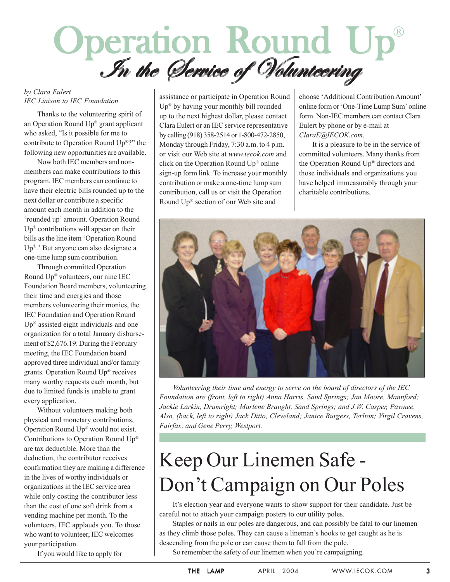# Operation Round Up<br>In the Service of Volunteering  $(R)$

## *by Clara Eulert*

Thanks to the volunteering spirit of an Operation Round Up® grant applicant who asked, "Is it possible for me to contribute to Operation Round Up®?" the following new opportunities are available.

Now both IEC members and nonmembers can make contributions to this program. IEC members can continue to have their electric bills rounded up to the next dollar or contribute a specific amount each month in addition to the 'rounded up' amount. Operation Round  $Up^{\otimes}$  contributions will appear on their bills as the line item 'Operation Round Up®.' But anyone can also designate a one-time lump sum contribution.

Through committed Operation Round Up® volunteers, our nine IEC Foundation Board members, volunteering their time and energies and those members volunteering their monies, the IEC Foundation and Operation Round  $Up<sup>®</sup>$  assisted eight individuals and one organization for a total January disbursement of \$2,676.19. During the February meeting, the IEC Foundation board approved three individual and/or family grants. Operation Round Up® receives many worthy requests each month, but due to limited funds is unable to grant every application.

Without volunteers making both physical and monetary contributions, Operation Round Up® would not exist. Contributions to Operation Round Up® are tax deductible. More than the deduction, the contributor receives confirmation they are making a difference in the lives of worthy individuals or organizations in the IEC service area while only costing the contributor less than the cost of one soft drink from a vending machine per month. To the volunteers, IEC applauds you. To those who want to volunteer, IEC welcomes your participation.

If you would like to apply for

*IEC Liaison to IEC Foundation* assistance or participate in Operation Round Up® by having your monthly bill rounded up to the next highest dollar, please contact Clara Eulert or an IEC service representative by calling (918) 358-2514 or 1-800-472-2850, Monday through Friday, 7:30 a.m. to 4 p.m. or visit our Web site at *www.iecok.com* and click on the Operation Round Up® online sign-up form link. To increase your monthly contribution or make a one-time lump sum contribution, call us or visit the Operation Round Up® section of our Web site and

choose 'Additional Contribution Amount' online form or 'One-Time Lump Sum' online form. Non-IEC members can contact Clara Eulert by phone or by e-mail at *ClaraE@IECOK.com*.

It is a pleasure to be in the service of committed volunteers. Many thanks from the Operation Round Up® directors and those individuals and organizations you have helped immeasurably through your charitable contributions.



*Volunteering their time and energy to serve on the board of directors of the IEC Foundation are (front, left to right) Anna Harris, Sand Springs; Jan Moore, Mannford; Jackie Larkin, Drumright; Marlene Braught, Sand Springs; and J.W. Casper, Pawnee. Also, (back, left to right) Jack Ditto, Cleveland; Janice Burgess, Terlton; Virgil Cravens, Fairfax; and Gene Perry, Westport.*

## Keep Our Linemen Safe - Don't Campaign on Our Poles

It's election year and everyone wants to show support for their candidate. Just be careful not to attach your campaign posters to our utility poles.

Staples or nails in our poles are dangerous, and can possibly be fatal to our linemen as they climb those poles. They can cause a lineman's hooks to get caught as he is descending from the pole or can cause them to fall from the pole.

So remember the safety of our linemen when you're campaigning.